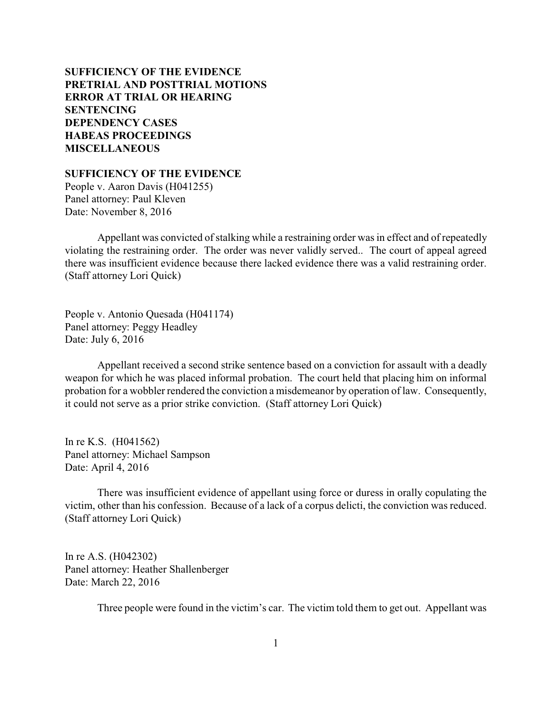# **SUFFICIENCY OF THE EVIDENCE [PRETRIAL AND POSTTRIAL MOTIONS](#page-1-0) [ERROR AT TRIAL OR HEARING](#page-10-0) [SENTENCING](#page-12-0) [DEPENDENCY CASES](#page-23-0) [HABEAS PROCEEDINGS](#page-23-0)  [MISCELLANEOUS](#page-24-0)**

**SUFFICIENCY OF THE EVIDENCE**

People v. Aaron Davis (H041255) Panel attorney: Paul Kleven Date: November 8, 2016

Appellant was convicted of stalking while a restraining order was in effect and of repeatedly violating the restraining order. The order was never validly served.. The court of appeal agreed there was insufficient evidence because there lacked evidence there was a valid restraining order. (Staff attorney Lori Quick)

People v. Antonio Quesada (H041174) Panel attorney: Peggy Headley Date: July 6, 2016

Appellant received a second strike sentence based on a conviction for assault with a deadly weapon for which he was placed informal probation. The court held that placing him on informal probation for a wobbler rendered the conviction a misdemeanor by operation of law. Consequently, it could not serve as a prior strike conviction. (Staff attorney Lori Quick)

In re K.S. (H041562) Panel attorney: Michael Sampson Date: April 4, 2016

There was insufficient evidence of appellant using force or duress in orally copulating the victim, other than his confession. Because of a lack of a corpus delicti, the conviction was reduced. (Staff attorney Lori Quick)

In re A.S. (H042302) Panel attorney: Heather Shallenberger Date: March 22, 2016

Three people were found in the victim's car. The victim told them to get out. Appellant was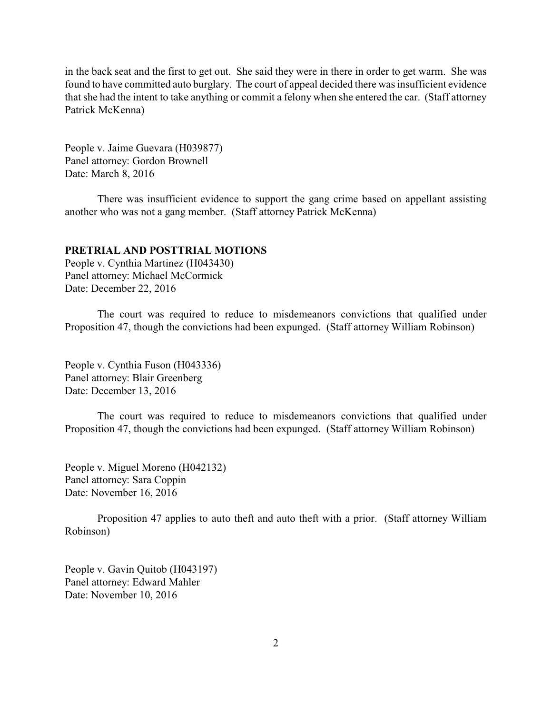<span id="page-1-0"></span>in the back seat and the first to get out. She said they were in there in order to get warm. She was found to have committed auto burglary. The court of appeal decided there was insufficient evidence that she had the intent to take anything or commit a felony when she entered the car. (Staff attorney Patrick McKenna)

People v. Jaime Guevara (H039877) Panel attorney: Gordon Brownell Date: March 8, 2016

There was insufficient evidence to support the gang crime based on appellant assisting another who was not a gang member. (Staff attorney Patrick McKenna)

### **PRETRIAL AND POSTTRIAL MOTIONS**

People v. Cynthia Martinez (H043430) Panel attorney: Michael McCormick Date: December 22, 2016

The court was required to reduce to misdemeanors convictions that qualified under Proposition 47, though the convictions had been expunged. (Staff attorney William Robinson)

People v. Cynthia Fuson (H043336) Panel attorney: Blair Greenberg Date: December 13, 2016

The court was required to reduce to misdemeanors convictions that qualified under Proposition 47, though the convictions had been expunged. (Staff attorney William Robinson)

People v. Miguel Moreno (H042132) Panel attorney: Sara Coppin Date: November 16, 2016

Proposition 47 applies to auto theft and auto theft with a prior. (Staff attorney William Robinson)

People v. Gavin Quitob (H043197) Panel attorney: Edward Mahler Date: November 10, 2016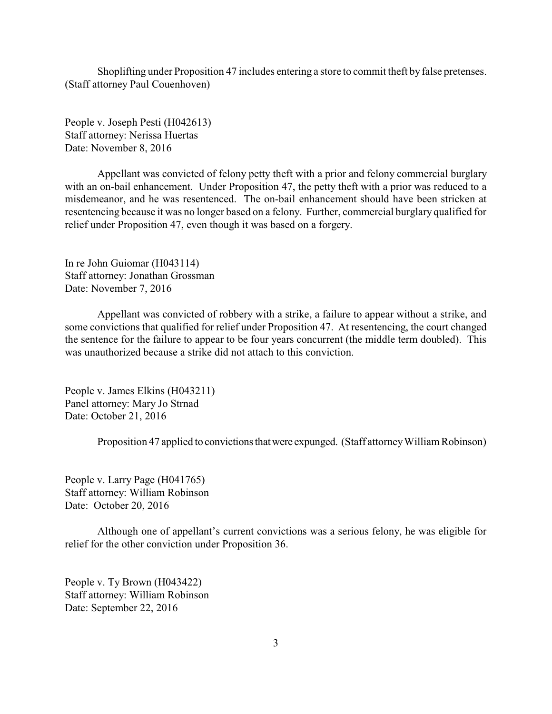Shoplifting under Proposition 47 includes entering a store to commit theft by false pretenses. (Staff attorney Paul Couenhoven)

People v. Joseph Pesti (H042613) Staff attorney: Nerissa Huertas Date: November 8, 2016

Appellant was convicted of felony petty theft with a prior and felony commercial burglary with an on-bail enhancement. Under Proposition 47, the petty theft with a prior was reduced to a misdemeanor, and he was resentenced. The on-bail enhancement should have been stricken at resentencing because it was no longer based on a felony. Further, commercial burglary qualified for relief under Proposition 47, even though it was based on a forgery.

In re John Guiomar (H043114) Staff attorney: Jonathan Grossman Date: November 7, 2016

Appellant was convicted of robbery with a strike, a failure to appear without a strike, and some convictions that qualified for relief under Proposition 47. At resentencing, the court changed the sentence for the failure to appear to be four years concurrent (the middle term doubled). This was unauthorized because a strike did not attach to this conviction.

People v. James Elkins (H043211) Panel attorney: Mary Jo Strnad Date: October 21, 2016

Proposition 47 applied to convictions that were expunged. (Staff attorney William Robinson)

People v. Larry Page (H041765) Staff attorney: William Robinson Date: October 20, 2016

Although one of appellant's current convictions was a serious felony, he was eligible for relief for the other conviction under Proposition 36.

People v. Ty Brown (H043422) Staff attorney: William Robinson Date: September 22, 2016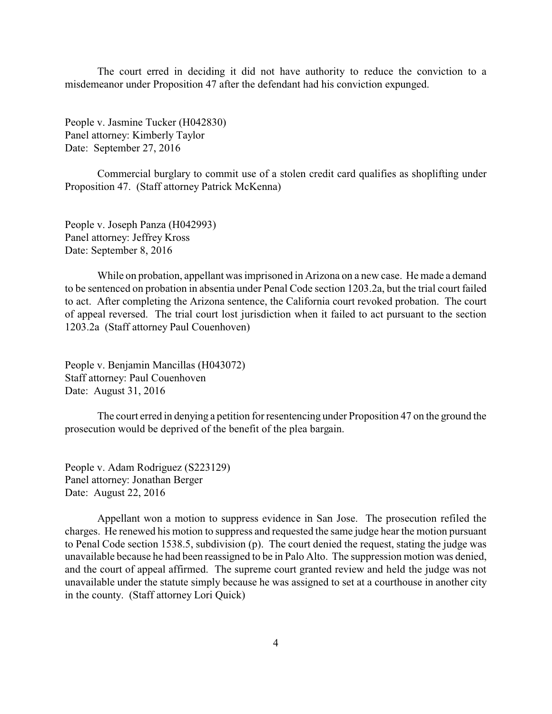The court erred in deciding it did not have authority to reduce the conviction to a misdemeanor under Proposition 47 after the defendant had his conviction expunged.

People v. Jasmine Tucker (H042830) Panel attorney: Kimberly Taylor Date: September 27, 2016

Commercial burglary to commit use of a stolen credit card qualifies as shoplifting under Proposition 47. (Staff attorney Patrick McKenna)

People v. Joseph Panza (H042993) Panel attorney: Jeffrey Kross Date: September 8, 2016

While on probation, appellant was imprisoned in Arizona on a new case. He made a demand to be sentenced on probation in absentia under Penal Code section 1203.2a, but the trial court failed to act. After completing the Arizona sentence, the California court revoked probation. The court of appeal reversed. The trial court lost jurisdiction when it failed to act pursuant to the section 1203.2a (Staff attorney Paul Couenhoven)

People v. Benjamin Mancillas (H043072) Staff attorney: Paul Couenhoven Date: August 31, 2016

The court erred in denying a petition for resentencing under Proposition 47 on the ground the prosecution would be deprived of the benefit of the plea bargain.

People v. Adam Rodriguez (S223129) Panel attorney: Jonathan Berger Date: August 22, 2016

Appellant won a motion to suppress evidence in San Jose. The prosecution refiled the charges. He renewed his motion to suppress and requested the same judge hear the motion pursuant to Penal Code section 1538.5, subdivision (p). The court denied the request, stating the judge was unavailable because he had been reassigned to be in Palo Alto. The suppression motion was denied, and the court of appeal affirmed. The supreme court granted review and held the judge was not unavailable under the statute simply because he was assigned to set at a courthouse in another city in the county. (Staff attorney Lori Quick)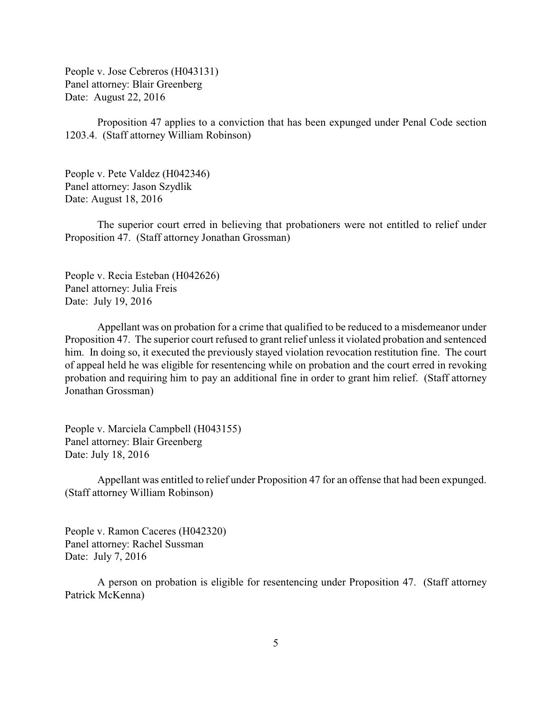People v. Jose Cebreros (H043131) Panel attorney: Blair Greenberg Date: August 22, 2016

Proposition 47 applies to a conviction that has been expunged under Penal Code section 1203.4. (Staff attorney William Robinson)

People v. Pete Valdez (H042346) Panel attorney: Jason Szydlik Date: August 18, 2016

The superior court erred in believing that probationers were not entitled to relief under Proposition 47. (Staff attorney Jonathan Grossman)

People v. Recia Esteban (H042626) Panel attorney: Julia Freis Date: July 19, 2016

Appellant was on probation for a crime that qualified to be reduced to a misdemeanor under Proposition 47. The superior court refused to grant relief unless it violated probation and sentenced him. In doing so, it executed the previously stayed violation revocation restitution fine. The court of appeal held he was eligible for resentencing while on probation and the court erred in revoking probation and requiring him to pay an additional fine in order to grant him relief. (Staff attorney Jonathan Grossman)

People v. Marciela Campbell (H043155) Panel attorney: Blair Greenberg Date: July 18, 2016

Appellant was entitled to relief under Proposition 47 for an offense that had been expunged. (Staff attorney William Robinson)

People v. Ramon Caceres (H042320) Panel attorney: Rachel Sussman Date: July 7, 2016

A person on probation is eligible for resentencing under Proposition 47. (Staff attorney Patrick McKenna)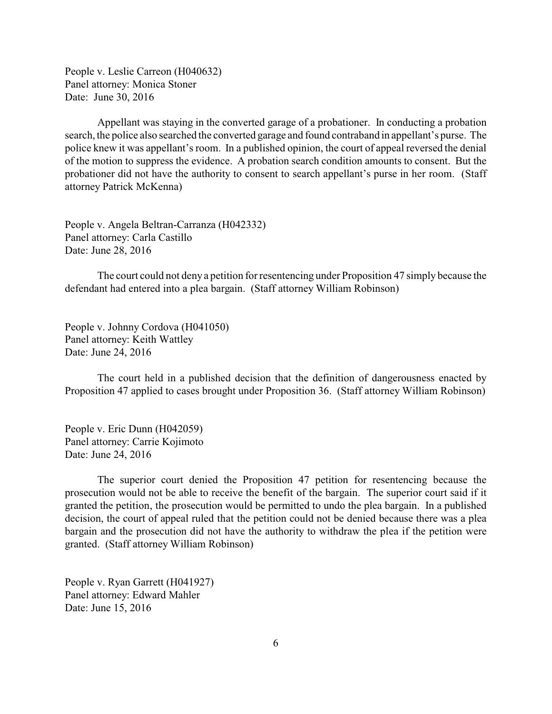People v. Leslie Carreon (H040632) Panel attorney: Monica Stoner Date: June 30, 2016

Appellant was staying in the converted garage of a probationer. In conducting a probation search, the police also searched the converted garage and found contraband in appellant's purse. The police knew it was appellant's room. In a published opinion, the court of appeal reversed the denial of the motion to suppress the evidence. A probation search condition amounts to consent. But the probationer did not have the authority to consent to search appellant's purse in her room. (Staff attorney Patrick McKenna)

People v. Angela Beltran-Carranza (H042332) Panel attorney: Carla Castillo Date: June 28, 2016

The court could not denya petition for resentencing under Proposition 47 simply because the defendant had entered into a plea bargain. (Staff attorney William Robinson)

People v. Johnny Cordova (H041050) Panel attorney: Keith Wattley Date: June 24, 2016

The court held in a published decision that the definition of dangerousness enacted by Proposition 47 applied to cases brought under Proposition 36. (Staff attorney William Robinson)

People v. Eric Dunn (H042059) Panel attorney: Carrie Kojimoto Date: June 24, 2016

The superior court denied the Proposition 47 petition for resentencing because the prosecution would not be able to receive the benefit of the bargain. The superior court said if it granted the petition, the prosecution would be permitted to undo the plea bargain. In a published decision, the court of appeal ruled that the petition could not be denied because there was a plea bargain and the prosecution did not have the authority to withdraw the plea if the petition were granted. (Staff attorney William Robinson)

People v. Ryan Garrett (H041927) Panel attorney: Edward Mahler Date: June 15, 2016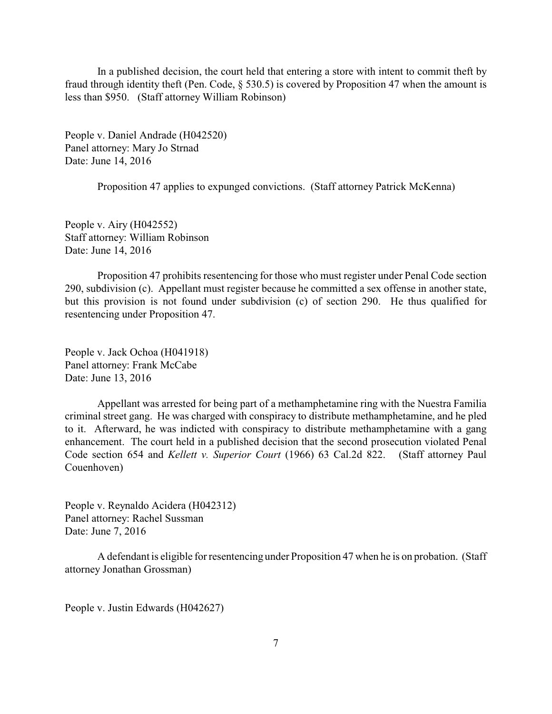In a published decision, the court held that entering a store with intent to commit theft by fraud through identity theft (Pen. Code, § 530.5) is covered by Proposition 47 when the amount is less than \$950. (Staff attorney William Robinson)

People v. Daniel Andrade (H042520) Panel attorney: Mary Jo Strnad Date: June 14, 2016

Proposition 47 applies to expunged convictions. (Staff attorney Patrick McKenna)

People v. Airy (H042552) Staff attorney: William Robinson Date: June 14, 2016

Proposition 47 prohibits resentencing for those who must register under Penal Code section 290, subdivision (c). Appellant must register because he committed a sex offense in another state, but this provision is not found under subdivision (c) of section 290. He thus qualified for resentencing under Proposition 47.

People v. Jack Ochoa (H041918) Panel attorney: Frank McCabe Date: June 13, 2016

Appellant was arrested for being part of a methamphetamine ring with the Nuestra Familia criminal street gang. He was charged with conspiracy to distribute methamphetamine, and he pled to it. Afterward, he was indicted with conspiracy to distribute methamphetamine with a gang enhancement. The court held in a published decision that the second prosecution violated Penal Code section 654 and *Kellett v. Superior Court* (1966) 63 Cal.2d 822. (Staff attorney Paul Couenhoven)

People v. Reynaldo Acidera (H042312) Panel attorney: Rachel Sussman Date: June 7, 2016

A defendant is eligible for resentencing under Proposition 47 when he is on probation. (Staff attorney Jonathan Grossman)

People v. Justin Edwards (H042627)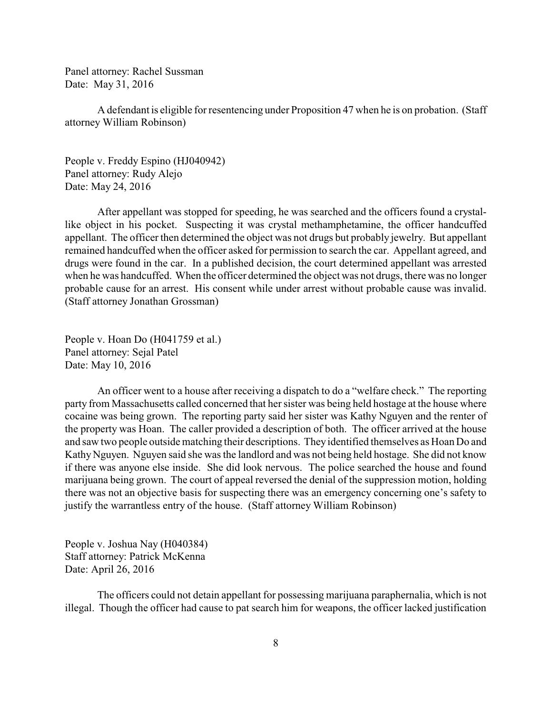Panel attorney: Rachel Sussman Date: May 31, 2016

A defendant is eligible for resentencing under Proposition 47 when he is on probation. (Staff attorney William Robinson)

People v. Freddy Espino (HJ040942) Panel attorney: Rudy Alejo Date: May 24, 2016

After appellant was stopped for speeding, he was searched and the officers found a crystallike object in his pocket. Suspecting it was crystal methamphetamine, the officer handcuffed appellant. The officer then determined the object was not drugs but probably jewelry. But appellant remained handcuffed when the officer asked for permission to search the car. Appellant agreed, and drugs were found in the car. In a published decision, the court determined appellant was arrested when he was handcuffed. When the officer determined the object was not drugs, there was no longer probable cause for an arrest. His consent while under arrest without probable cause was invalid. (Staff attorney Jonathan Grossman)

People v. Hoan Do (H041759 et al.) Panel attorney: Sejal Patel Date: May 10, 2016

An officer went to a house after receiving a dispatch to do a "welfare check." The reporting party from Massachusetts called concerned that her sister was being held hostage at the house where cocaine was being grown. The reporting party said her sister was Kathy Nguyen and the renter of the property was Hoan. The caller provided a description of both. The officer arrived at the house and saw two people outside matching their descriptions. They identified themselves as Hoan Do and Kathy Nguyen. Nguyen said she was the landlord and was not being held hostage. She did not know if there was anyone else inside. She did look nervous. The police searched the house and found marijuana being grown. The court of appeal reversed the denial of the suppression motion, holding there was not an objective basis for suspecting there was an emergency concerning one's safety to justify the warrantless entry of the house. (Staff attorney William Robinson)

People v. Joshua Nay (H040384) Staff attorney: Patrick McKenna Date: April 26, 2016

The officers could not detain appellant for possessing marijuana paraphernalia, which is not illegal. Though the officer had cause to pat search him for weapons, the officer lacked justification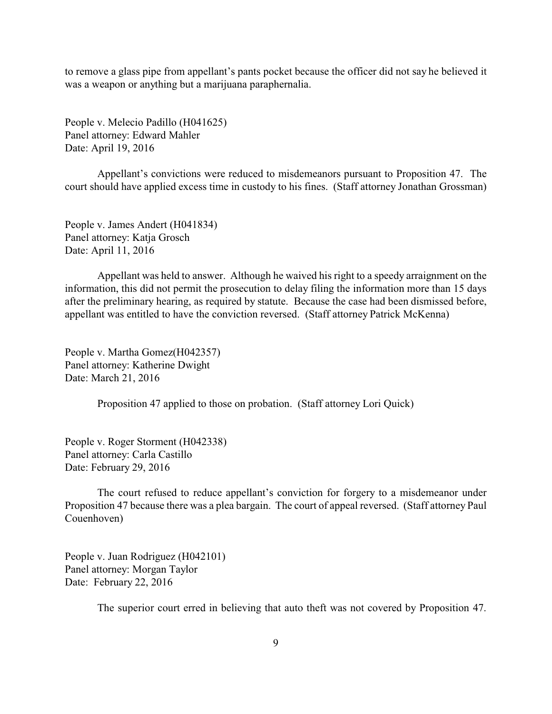to remove a glass pipe from appellant's pants pocket because the officer did not say he believed it was a weapon or anything but a marijuana paraphernalia.

People v. Melecio Padillo (H041625) Panel attorney: Edward Mahler Date: April 19, 2016

Appellant's convictions were reduced to misdemeanors pursuant to Proposition 47. The court should have applied excess time in custody to his fines. (Staff attorney Jonathan Grossman)

People v. James Andert (H041834) Panel attorney: Katja Grosch Date: April 11, 2016

Appellant was held to answer. Although he waived his right to a speedy arraignment on the information, this did not permit the prosecution to delay filing the information more than 15 days after the preliminary hearing, as required by statute. Because the case had been dismissed before, appellant was entitled to have the conviction reversed. (Staff attorney Patrick McKenna)

People v. Martha Gomez(H042357) Panel attorney: Katherine Dwight Date: March 21, 2016

Proposition 47 applied to those on probation. (Staff attorney Lori Quick)

People v. Roger Storment (H042338) Panel attorney: Carla Castillo Date: February 29, 2016

The court refused to reduce appellant's conviction for forgery to a misdemeanor under Proposition 47 because there was a plea bargain. The court of appeal reversed. (Staff attorney Paul Couenhoven)

People v. Juan Rodriguez (H042101) Panel attorney: Morgan Taylor Date: February 22, 2016

The superior court erred in believing that auto theft was not covered by Proposition 47.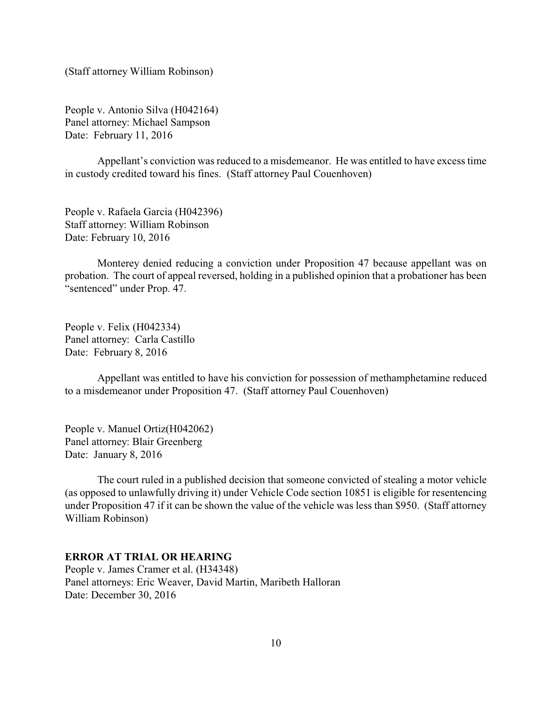(Staff attorney William Robinson)

People v. Antonio Silva (H042164) Panel attorney: Michael Sampson Date: February 11, 2016

Appellant's conviction was reduced to a misdemeanor. He was entitled to have excess time in custody credited toward his fines. (Staff attorney Paul Couenhoven)

People v. Rafaela Garcia (H042396) Staff attorney: William Robinson Date: February 10, 2016

Monterey denied reducing a conviction under Proposition 47 because appellant was on probation. The court of appeal reversed, holding in a published opinion that a probationer has been "sentenced" under Prop. 47.

People v. Felix (H042334) Panel attorney: Carla Castillo Date: February 8, 2016

Appellant was entitled to have his conviction for possession of methamphetamine reduced to a misdemeanor under Proposition 47. (Staff attorney Paul Couenhoven)

People v. Manuel Ortiz(H042062) Panel attorney: Blair Greenberg Date: January 8, 2016

The court ruled in a published decision that someone convicted of stealing a motor vehicle (as opposed to unlawfully driving it) under Vehicle Code section 10851 is eligible for resentencing under Proposition 47 if it can be shown the value of the vehicle was less than \$950. (Staff attorney William Robinson)

## **ERROR AT TRIAL OR HEARING**

People v. James Cramer et al. (H34348) Panel attorneys: Eric Weaver, David Martin, Maribeth Halloran Date: December 30, 2016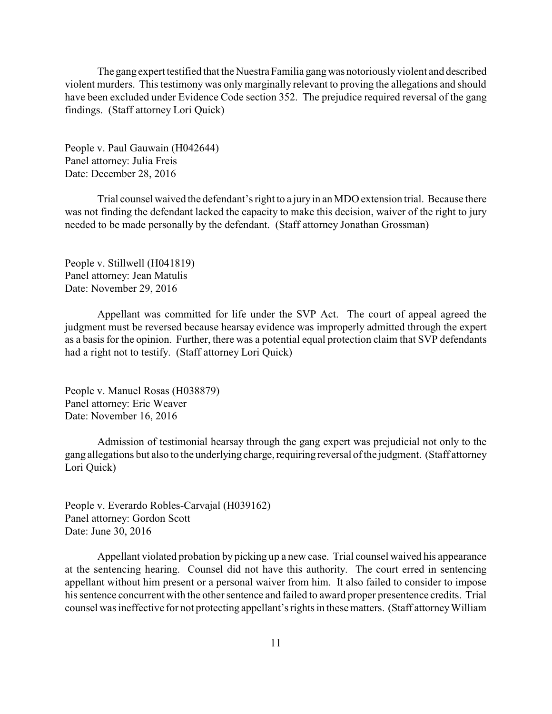<span id="page-10-0"></span>The gang expert testified that the Nuestra Familia gangwas notoriouslyviolent and described violent murders. This testimony was only marginally relevant to proving the allegations and should have been excluded under Evidence Code section 352. The prejudice required reversal of the gang findings. (Staff attorney Lori Quick)

People v. Paul Gauwain (H042644) Panel attorney: Julia Freis Date: December 28, 2016

Trial counsel waived the defendant's right to a jury in an MDO extension trial. Because there was not finding the defendant lacked the capacity to make this decision, waiver of the right to jury needed to be made personally by the defendant. (Staff attorney Jonathan Grossman)

People v. Stillwell (H041819) Panel attorney: Jean Matulis Date: November 29, 2016

Appellant was committed for life under the SVP Act. The court of appeal agreed the judgment must be reversed because hearsay evidence was improperly admitted through the expert as a basis for the opinion. Further, there was a potential equal protection claim that SVP defendants had a right not to testify. (Staff attorney Lori Quick)

People v. Manuel Rosas (H038879) Panel attorney: Eric Weaver Date: November 16, 2016

Admission of testimonial hearsay through the gang expert was prejudicial not only to the gang allegations but also to the underlying charge, requiring reversal of the judgment. (Staff attorney Lori Quick)

People v. Everardo Robles-Carvajal (H039162) Panel attorney: Gordon Scott Date: June 30, 2016

Appellant violated probation by picking up a new case. Trial counsel waived his appearance at the sentencing hearing. Counsel did not have this authority. The court erred in sentencing appellant without him present or a personal waiver from him. It also failed to consider to impose his sentence concurrent with the other sentence and failed to award proper presentence credits. Trial counsel was ineffective for not protecting appellant's rights in these matters. (Staff attorneyWilliam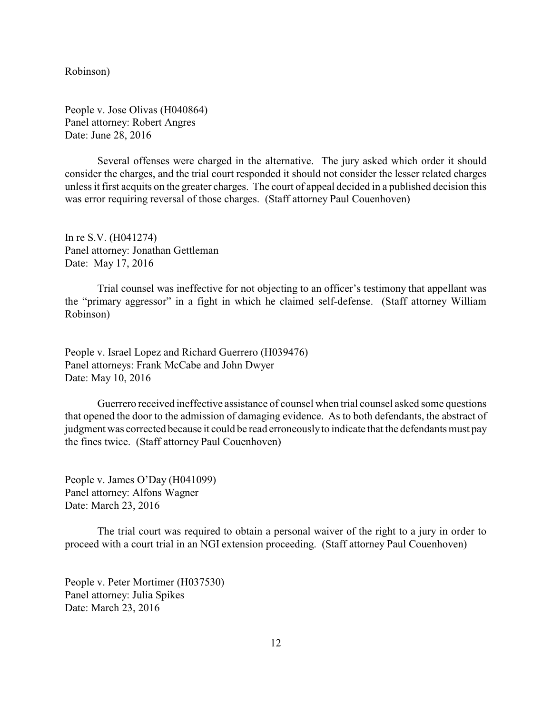Robinson)

People v. Jose Olivas (H040864) Panel attorney: Robert Angres Date: June 28, 2016

Several offenses were charged in the alternative. The jury asked which order it should consider the charges, and the trial court responded it should not consider the lesser related charges unless it first acquits on the greater charges. The court of appeal decided in a published decision this was error requiring reversal of those charges. (Staff attorney Paul Couenhoven)

In re S.V. (H041274) Panel attorney: Jonathan Gettleman Date: May 17, 2016

Trial counsel was ineffective for not objecting to an officer's testimony that appellant was the "primary aggressor" in a fight in which he claimed self-defense. (Staff attorney William Robinson)

People v. Israel Lopez and Richard Guerrero (H039476) Panel attorneys: Frank McCabe and John Dwyer Date: May 10, 2016

Guerrero received ineffective assistance of counsel when trial counsel asked some questions that opened the door to the admission of damaging evidence. As to both defendants, the abstract of judgment was corrected because it could be read erroneouslyto indicate that the defendants must pay the fines twice. (Staff attorney Paul Couenhoven)

People v. James O'Day (H041099) Panel attorney: Alfons Wagner Date: March 23, 2016

The trial court was required to obtain a personal waiver of the right to a jury in order to proceed with a court trial in an NGI extension proceeding. (Staff attorney Paul Couenhoven)

People v. Peter Mortimer (H037530) Panel attorney: Julia Spikes Date: March 23, 2016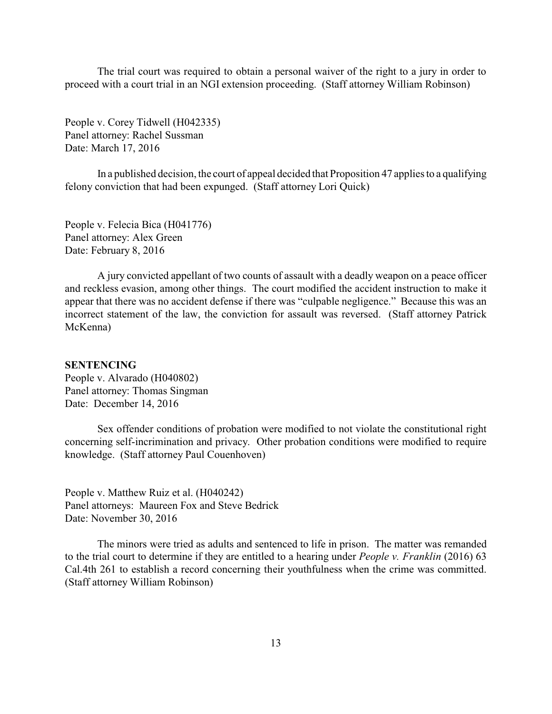<span id="page-12-0"></span>The trial court was required to obtain a personal waiver of the right to a jury in order to proceed with a court trial in an NGI extension proceeding. (Staff attorney William Robinson)

People v. Corey Tidwell (H042335) Panel attorney: Rachel Sussman Date: March 17, 2016

In a published decision, the court of appeal decided that Proposition 47 applies to a qualifying felony conviction that had been expunged. (Staff attorney Lori Quick)

People v. Felecia Bica (H041776) Panel attorney: Alex Green Date: February 8, 2016

A jury convicted appellant of two counts of assault with a deadly weapon on a peace officer and reckless evasion, among other things. The court modified the accident instruction to make it appear that there was no accident defense if there was "culpable negligence." Because this was an incorrect statement of the law, the conviction for assault was reversed. (Staff attorney Patrick McKenna)

#### **SENTENCING**

People v. Alvarado (H040802) Panel attorney: Thomas Singman Date: December 14, 2016

Sex offender conditions of probation were modified to not violate the constitutional right concerning self-incrimination and privacy. Other probation conditions were modified to require knowledge. (Staff attorney Paul Couenhoven)

People v. Matthew Ruiz et al. (H040242) Panel attorneys: Maureen Fox and Steve Bedrick Date: November 30, 2016

The minors were tried as adults and sentenced to life in prison. The matter was remanded to the trial court to determine if they are entitled to a hearing under *People v. Franklin* (2016) 63 Cal.4th 261 to establish a record concerning their youthfulness when the crime was committed. (Staff attorney William Robinson)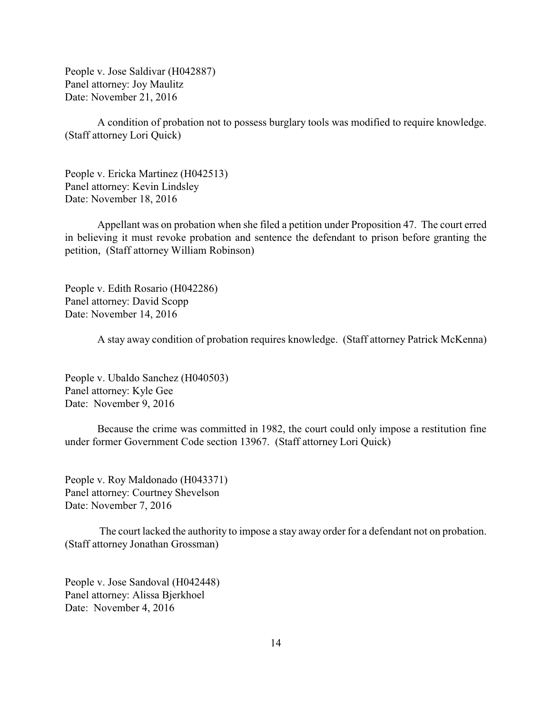People v. Jose Saldivar (H042887) Panel attorney: Joy Maulitz Date: November 21, 2016

A condition of probation not to possess burglary tools was modified to require knowledge. (Staff attorney Lori Quick)

People v. Ericka Martinez (H042513) Panel attorney: Kevin Lindsley Date: November 18, 2016

Appellant was on probation when she filed a petition under Proposition 47. The court erred in believing it must revoke probation and sentence the defendant to prison before granting the petition, (Staff attorney William Robinson)

People v. Edith Rosario (H042286) Panel attorney: David Scopp Date: November 14, 2016

A stay away condition of probation requires knowledge. (Staff attorney Patrick McKenna)

People v. Ubaldo Sanchez (H040503) Panel attorney: Kyle Gee Date: November 9, 2016

Because the crime was committed in 1982, the court could only impose a restitution fine under former Government Code section 13967. (Staff attorney Lori Quick)

People v. Roy Maldonado (H043371) Panel attorney: Courtney Shevelson Date: November 7, 2016

The court lacked the authority to impose a stay away order for a defendant not on probation. (Staff attorney Jonathan Grossman)

People v. Jose Sandoval (H042448) Panel attorney: Alissa Bjerkhoel Date: November 4, 2016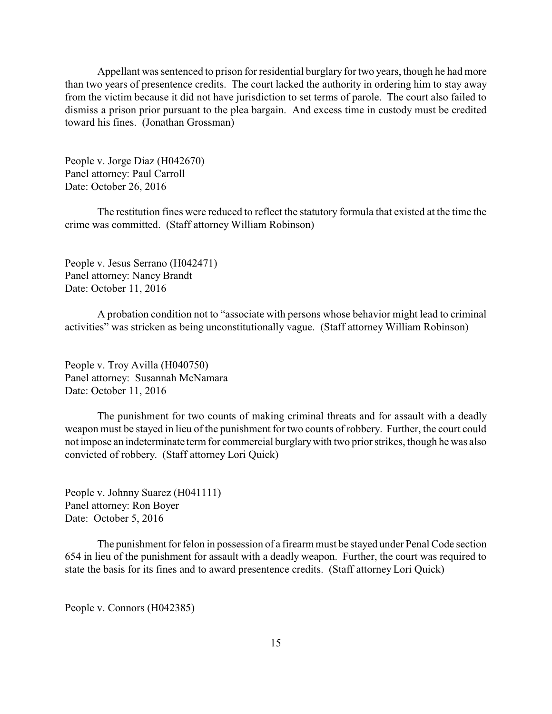Appellant was sentenced to prison for residential burglary for two years, though he had more than two years of presentence credits. The court lacked the authority in ordering him to stay away from the victim because it did not have jurisdiction to set terms of parole. The court also failed to dismiss a prison prior pursuant to the plea bargain. And excess time in custody must be credited toward his fines. (Jonathan Grossman)

People v. Jorge Diaz (H042670) Panel attorney: Paul Carroll Date: October 26, 2016

The restitution fines were reduced to reflect the statutory formula that existed at the time the crime was committed. (Staff attorney William Robinson)

People v. Jesus Serrano (H042471) Panel attorney: Nancy Brandt Date: October 11, 2016

A probation condition not to "associate with persons whose behavior might lead to criminal activities" was stricken as being unconstitutionally vague. (Staff attorney William Robinson)

People v. Troy Avilla (H040750) Panel attorney: Susannah McNamara Date: October 11, 2016

The punishment for two counts of making criminal threats and for assault with a deadly weapon must be stayed in lieu of the punishment for two counts of robbery. Further, the court could not impose an indeterminate term for commercial burglarywith two prior strikes, though he was also convicted of robbery. (Staff attorney Lori Quick)

People v. Johnny Suarez (H041111) Panel attorney: Ron Boyer Date: October 5, 2016

The punishment for felon in possession of a firearm must be stayed under Penal Code section 654 in lieu of the punishment for assault with a deadly weapon. Further, the court was required to state the basis for its fines and to award presentence credits. (Staff attorney Lori Quick)

People v. Connors (H042385)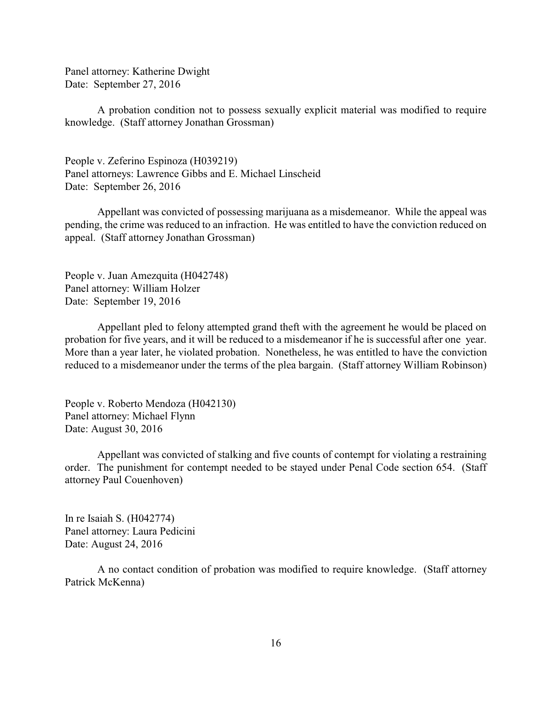Panel attorney: Katherine Dwight Date: September 27, 2016

A probation condition not to possess sexually explicit material was modified to require knowledge. (Staff attorney Jonathan Grossman)

People v. Zeferino Espinoza (H039219) Panel attorneys: Lawrence Gibbs and E. Michael Linscheid Date: September 26, 2016

Appellant was convicted of possessing marijuana as a misdemeanor. While the appeal was pending, the crime was reduced to an infraction. He was entitled to have the conviction reduced on appeal. (Staff attorney Jonathan Grossman)

People v. Juan Amezquita (H042748) Panel attorney: William Holzer Date: September 19, 2016

Appellant pled to felony attempted grand theft with the agreement he would be placed on probation for five years, and it will be reduced to a misdemeanor if he is successful after one year. More than a year later, he violated probation. Nonetheless, he was entitled to have the conviction reduced to a misdemeanor under the terms of the plea bargain. (Staff attorney William Robinson)

People v. Roberto Mendoza (H042130) Panel attorney: Michael Flynn Date: August 30, 2016

Appellant was convicted of stalking and five counts of contempt for violating a restraining order. The punishment for contempt needed to be stayed under Penal Code section 654. (Staff attorney Paul Couenhoven)

In re Isaiah S. (H042774) Panel attorney: Laura Pedicini Date: August 24, 2016

A no contact condition of probation was modified to require knowledge. (Staff attorney Patrick McKenna)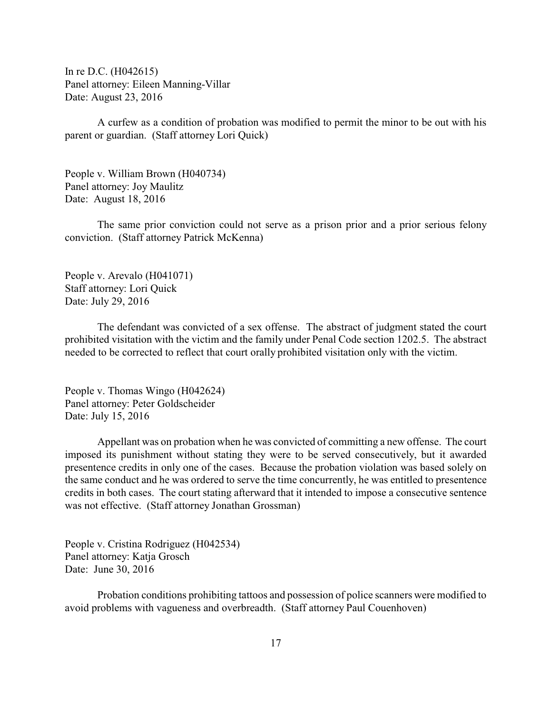In re D.C. (H042615) Panel attorney: Eileen Manning-Villar Date: August 23, 2016

A curfew as a condition of probation was modified to permit the minor to be out with his parent or guardian. (Staff attorney Lori Quick)

People v. William Brown (H040734) Panel attorney: Joy Maulitz Date: August 18, 2016

The same prior conviction could not serve as a prison prior and a prior serious felony conviction. (Staff attorney Patrick McKenna)

People v. Arevalo (H041071) Staff attorney: Lori Quick Date: July 29, 2016

The defendant was convicted of a sex offense. The abstract of judgment stated the court prohibited visitation with the victim and the family under Penal Code section 1202.5. The abstract needed to be corrected to reflect that court orally prohibited visitation only with the victim.

People v. Thomas Wingo (H042624) Panel attorney: Peter Goldscheider Date: July 15, 2016

Appellant was on probation when he was convicted of committing a new offense. The court imposed its punishment without stating they were to be served consecutively, but it awarded presentence credits in only one of the cases. Because the probation violation was based solely on the same conduct and he was ordered to serve the time concurrently, he was entitled to presentence credits in both cases. The court stating afterward that it intended to impose a consecutive sentence was not effective. (Staff attorney Jonathan Grossman)

People v. Cristina Rodriguez (H042534) Panel attorney: Katja Grosch Date: June 30, 2016

Probation conditions prohibiting tattoos and possession of police scanners were modified to avoid problems with vagueness and overbreadth. (Staff attorney Paul Couenhoven)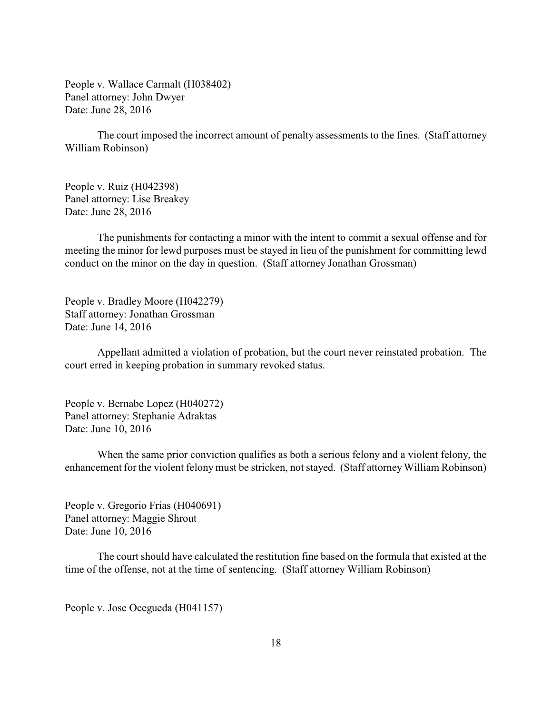People v. Wallace Carmalt (H038402) Panel attorney: John Dwyer Date: June 28, 2016

The court imposed the incorrect amount of penalty assessments to the fines. (Staff attorney William Robinson)

People v. Ruiz (H042398) Panel attorney: Lise Breakey Date: June 28, 2016

The punishments for contacting a minor with the intent to commit a sexual offense and for meeting the minor for lewd purposes must be stayed in lieu of the punishment for committing lewd conduct on the minor on the day in question. (Staff attorney Jonathan Grossman)

People v. Bradley Moore (H042279) Staff attorney: Jonathan Grossman Date: June 14, 2016

Appellant admitted a violation of probation, but the court never reinstated probation. The court erred in keeping probation in summary revoked status.

People v. Bernabe Lopez (H040272) Panel attorney: Stephanie Adraktas Date: June 10, 2016

When the same prior conviction qualifies as both a serious felony and a violent felony, the enhancement for the violent felony must be stricken, not stayed. (Staff attorney William Robinson)

People v. Gregorio Frias (H040691) Panel attorney: Maggie Shrout Date: June 10, 2016

The court should have calculated the restitution fine based on the formula that existed at the time of the offense, not at the time of sentencing. (Staff attorney William Robinson)

People v. Jose Ocegueda (H041157)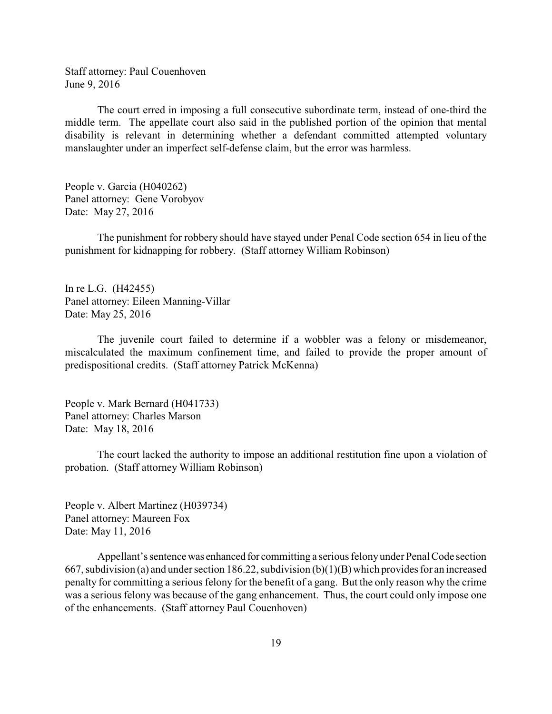Staff attorney: Paul Couenhoven June 9, 2016

The court erred in imposing a full consecutive subordinate term, instead of one-third the middle term. The appellate court also said in the published portion of the opinion that mental disability is relevant in determining whether a defendant committed attempted voluntary manslaughter under an imperfect self-defense claim, but the error was harmless.

People v. Garcia (H040262) Panel attorney: Gene Vorobyov Date: May 27, 2016

The punishment for robbery should have stayed under Penal Code section 654 in lieu of the punishment for kidnapping for robbery. (Staff attorney William Robinson)

In re L.G. (H42455) Panel attorney: Eileen Manning-Villar Date: May 25, 2016

The juvenile court failed to determine if a wobbler was a felony or misdemeanor, miscalculated the maximum confinement time, and failed to provide the proper amount of predispositional credits. (Staff attorney Patrick McKenna)

People v. Mark Bernard (H041733) Panel attorney: Charles Marson Date: May 18, 2016

The court lacked the authority to impose an additional restitution fine upon a violation of probation. (Staff attorney William Robinson)

People v. Albert Martinez (H039734) Panel attorney: Maureen Fox Date: May 11, 2016

Appellant's sentencewas enhanced for committing a serious felonyunder Penal Code section 667, subdivision (a) and under section 186.22, subdivision (b)(1)(B) which provides for an increased penalty for committing a serious felony for the benefit of a gang. But the only reason why the crime was a serious felony was because of the gang enhancement. Thus, the court could only impose one of the enhancements. (Staff attorney Paul Couenhoven)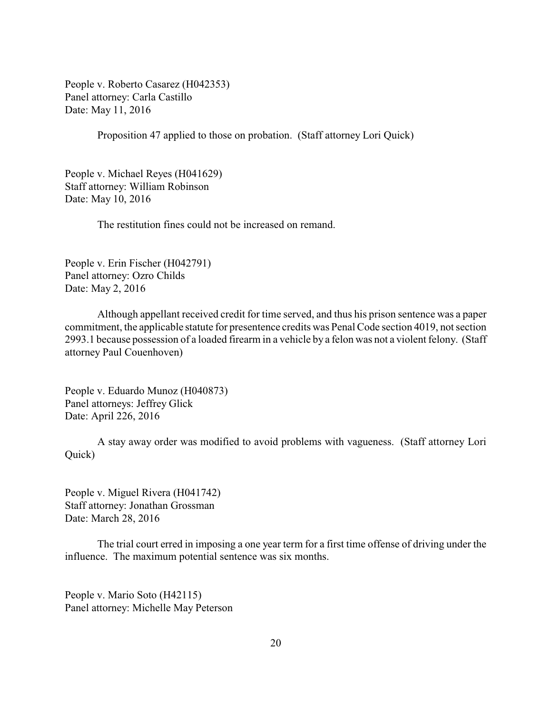People v. Roberto Casarez (H042353) Panel attorney: Carla Castillo Date: May 11, 2016

Proposition 47 applied to those on probation. (Staff attorney Lori Quick)

People v. Michael Reyes (H041629) Staff attorney: William Robinson Date: May 10, 2016

The restitution fines could not be increased on remand.

People v. Erin Fischer (H042791) Panel attorney: Ozro Childs Date: May 2, 2016

Although appellant received credit for time served, and thus his prison sentence was a paper commitment, the applicable statute for presentence credits was Penal Code section 4019, not section 2993.1 because possession of a loaded firearm in a vehicle by a felon was not a violent felony. (Staff attorney Paul Couenhoven)

People v. Eduardo Munoz (H040873) Panel attorneys: Jeffrey Glick Date: April 226, 2016

A stay away order was modified to avoid problems with vagueness. (Staff attorney Lori Quick)

People v. Miguel Rivera (H041742) Staff attorney: Jonathan Grossman Date: March 28, 2016

The trial court erred in imposing a one year term for a first time offense of driving under the influence. The maximum potential sentence was six months.

People v. Mario Soto (H42115) Panel attorney: Michelle May Peterson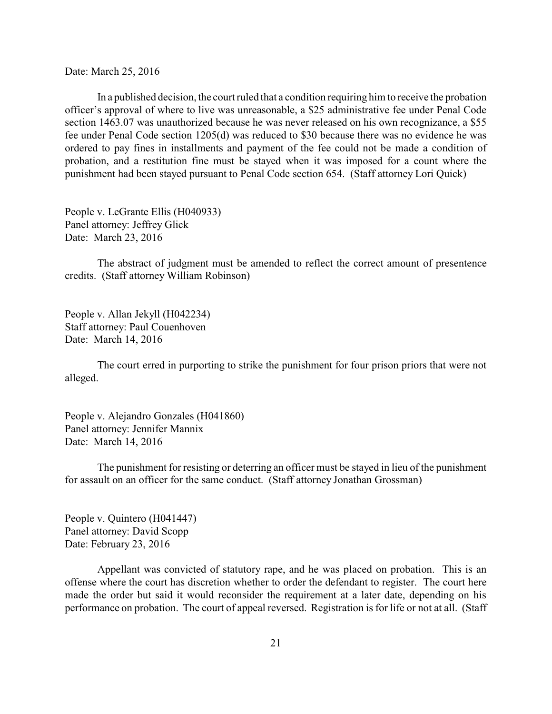Date: March 25, 2016

In a published decision, the court ruled that a condition requiring him to receive the probation officer's approval of where to live was unreasonable, a \$25 administrative fee under Penal Code section 1463.07 was unauthorized because he was never released on his own recognizance, a \$55 fee under Penal Code section 1205(d) was reduced to \$30 because there was no evidence he was ordered to pay fines in installments and payment of the fee could not be made a condition of probation, and a restitution fine must be stayed when it was imposed for a count where the punishment had been stayed pursuant to Penal Code section 654. (Staff attorney Lori Quick)

People v. LeGrante Ellis (H040933) Panel attorney: Jeffrey Glick Date: March 23, 2016

The abstract of judgment must be amended to reflect the correct amount of presentence credits. (Staff attorney William Robinson)

People v. Allan Jekyll (H042234) Staff attorney: Paul Couenhoven Date: March 14, 2016

The court erred in purporting to strike the punishment for four prison priors that were not alleged.

People v. Alejandro Gonzales (H041860) Panel attorney: Jennifer Mannix Date: March 14, 2016

The punishment for resisting or deterring an officer must be stayed in lieu of the punishment for assault on an officer for the same conduct. (Staff attorney Jonathan Grossman)

People v. Quintero (H041447) Panel attorney: David Scopp Date: February 23, 2016

Appellant was convicted of statutory rape, and he was placed on probation. This is an offense where the court has discretion whether to order the defendant to register. The court here made the order but said it would reconsider the requirement at a later date, depending on his performance on probation. The court of appeal reversed. Registration is for life or not at all. (Staff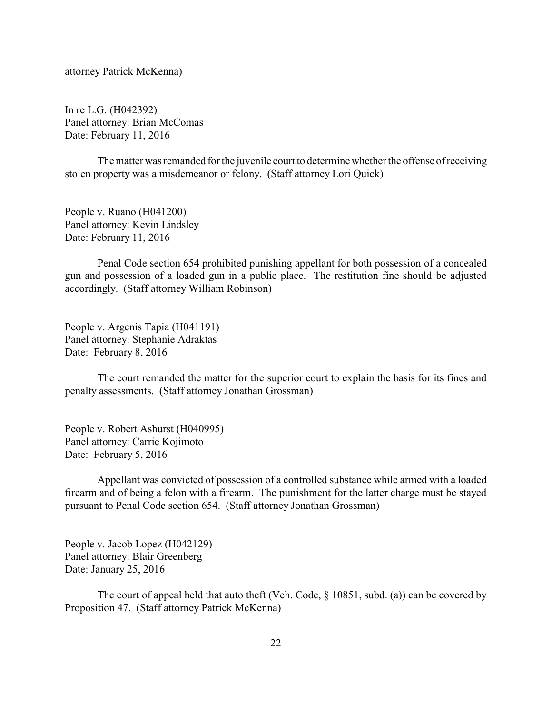attorney Patrick McKenna)

In re L.G. (H042392) Panel attorney: Brian McComas Date: February 11, 2016

The matter was remanded for the juvenile court to determine whether the offense of receiving stolen property was a misdemeanor or felony. (Staff attorney Lori Quick)

People v. Ruano (H041200) Panel attorney: Kevin Lindsley Date: February 11, 2016

Penal Code section 654 prohibited punishing appellant for both possession of a concealed gun and possession of a loaded gun in a public place. The restitution fine should be adjusted accordingly. (Staff attorney William Robinson)

People v. Argenis Tapia (H041191) Panel attorney: Stephanie Adraktas Date: February 8, 2016

The court remanded the matter for the superior court to explain the basis for its fines and penalty assessments. (Staff attorney Jonathan Grossman)

People v. Robert Ashurst (H040995) Panel attorney: Carrie Kojimoto Date: February 5, 2016

Appellant was convicted of possession of a controlled substance while armed with a loaded firearm and of being a felon with a firearm. The punishment for the latter charge must be stayed pursuant to Penal Code section 654. (Staff attorney Jonathan Grossman)

People v. Jacob Lopez (H042129) Panel attorney: Blair Greenberg Date: January 25, 2016

The court of appeal held that auto theft (Veh. Code, § 10851, subd. (a)) can be covered by Proposition 47. (Staff attorney Patrick McKenna)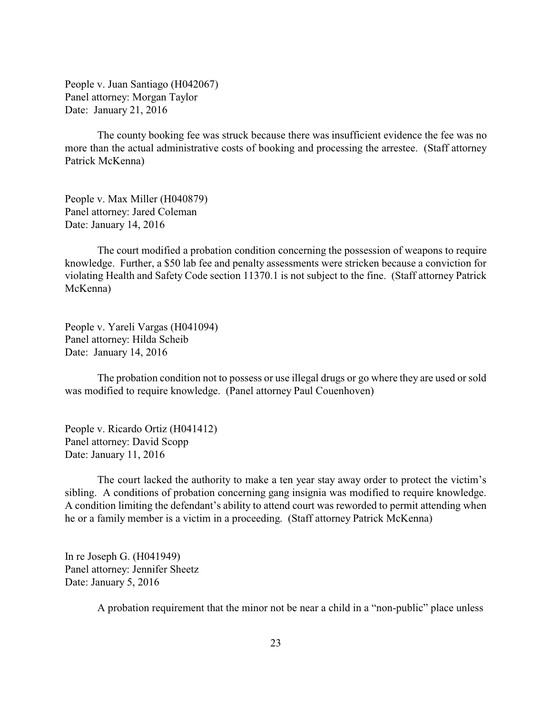People v. Juan Santiago (H042067) Panel attorney: Morgan Taylor Date: January 21, 2016

The county booking fee was struck because there was insufficient evidence the fee was no more than the actual administrative costs of booking and processing the arrestee. (Staff attorney Patrick McKenna)

People v. Max Miller (H040879) Panel attorney: Jared Coleman Date: January 14, 2016

The court modified a probation condition concerning the possession of weapons to require knowledge. Further, a \$50 lab fee and penalty assessments were stricken because a conviction for violating Health and Safety Code section 11370.1 is not subject to the fine. (Staff attorney Patrick McKenna)

People v. Yareli Vargas (H041094) Panel attorney: Hilda Scheib Date: January 14, 2016

The probation condition not to possess or use illegal drugs or go where they are used or sold was modified to require knowledge. (Panel attorney Paul Couenhoven)

People v. Ricardo Ortiz (H041412) Panel attorney: David Scopp Date: January 11, 2016

The court lacked the authority to make a ten year stay away order to protect the victim's sibling. A conditions of probation concerning gang insignia was modified to require knowledge. A condition limiting the defendant's ability to attend court was reworded to permit attending when he or a family member is a victim in a proceeding. (Staff attorney Patrick McKenna)

In re Joseph G. (H041949) Panel attorney: Jennifer Sheetz Date: January 5, 2016

A probation requirement that the minor not be near a child in a "non-public" place unless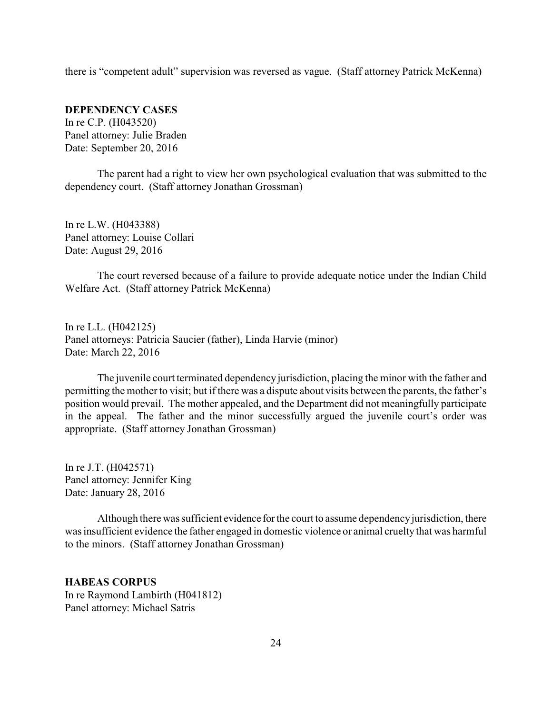<span id="page-23-0"></span>there is "competent adult" supervision was reversed as vague. (Staff attorney Patrick McKenna)

**DEPENDENCY CASES** In re C.P. (H043520) Panel attorney: Julie Braden Date: September 20, 2016

The parent had a right to view her own psychological evaluation that was submitted to the dependency court. (Staff attorney Jonathan Grossman)

In re L.W. (H043388) Panel attorney: Louise Collari Date: August 29, 2016

The court reversed because of a failure to provide adequate notice under the Indian Child Welfare Act. (Staff attorney Patrick McKenna)

In re L.L. (H042125) Panel attorneys: Patricia Saucier (father), Linda Harvie (minor) Date: March 22, 2016

The juvenile court terminated dependency jurisdiction, placing the minor with the father and permitting the mother to visit; but if there was a dispute about visits between the parents, the father's position would prevail. The mother appealed, and the Department did not meaningfully participate in the appeal. The father and the minor successfully argued the juvenile court's order was appropriate. (Staff attorney Jonathan Grossman)

In re J.T. (H042571) Panel attorney: Jennifer King Date: January 28, 2016

Although there was sufficient evidence for the court to assume dependencyjurisdiction, there was insufficient evidence the father engaged in domestic violence or animal cruelty that was harmful to the minors. (Staff attorney Jonathan Grossman)

### **HABEAS CORPUS**

In re Raymond Lambirth (H041812) Panel attorney: Michael Satris